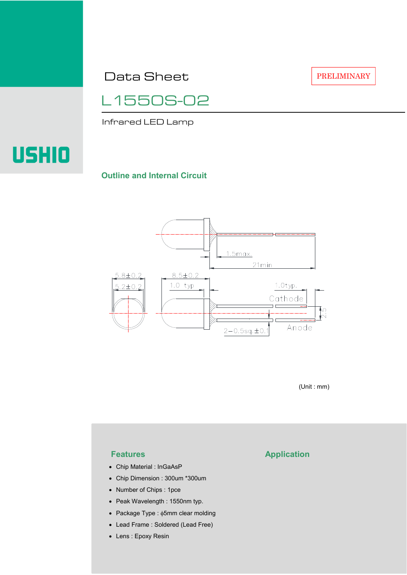Data Sheet

PRELIMINARY



Infrared LED Lamp

# USHIO

#### **Outline and Internal Circuit**



(Unit : mm)

- Chip Material : InGaAsP
- Chip Dimension : 300um \*300um
- Number of Chips : 1pce
- Peak Wavelength : 1550nm typ.
- Package Type : φ5mm clear molding
- Lead Frame : Soldered (Lead Free)
- Lens : Epoxy Resin

## **Features Application**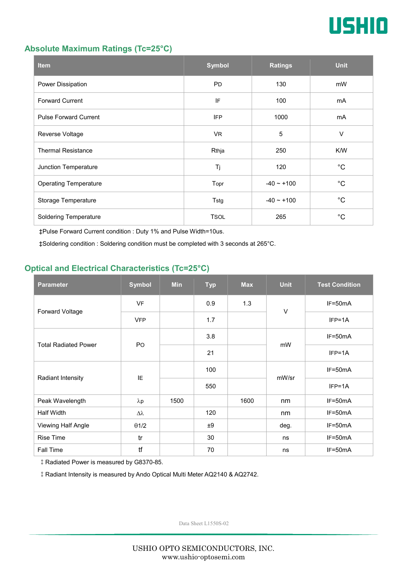

#### **Absolute Maximum Ratings (Tc=25°C)**

| <b>Item</b>                  | <b>Symbol</b> | <b>Ratings</b>  | <b>Unit</b> |
|------------------------------|---------------|-----------------|-------------|
| Power Dissipation            | <b>PD</b>     | 130             | mW          |
| <b>Forward Current</b>       | IF            | 100             | mA          |
| <b>Pulse Forward Current</b> | <b>IFP</b>    | 1000            | mA          |
| Reverse Voltage              | VR.           | $\overline{5}$  | $\vee$      |
| <b>Thermal Resistance</b>    | Rthja         | 250             | K/W         |
| Junction Temperature         | Tj            | 120             | $^{\circ}C$ |
| <b>Operating Temperature</b> | Topr          | $-40 \sim +100$ | $^{\circ}C$ |
| Storage Temperature          | Tstg          | $-40 - +100$    | $^{\circ}C$ |
| <b>Soldering Temperature</b> | <b>TSOL</b>   | 265             | $^{\circ}C$ |

‡Pulse Forward Current condition : Duty 1% and Pulse Width=10us.

‡Soldering condition : Soldering condition must be completed with 3 seconds at 265°C.

### **Optical and Electrical Characteristics (Tc=25°C)**

| <b>Parameter</b>            | <b>Symbol</b>    | <b>Min</b> | <b>Typ</b> | <b>Max</b> | <b>Unit</b> | <b>Test Condition</b> |
|-----------------------------|------------------|------------|------------|------------|-------------|-----------------------|
| Forward Voltage             | <b>VF</b>        |            | 0.9        | 1.3        | $\vee$      | IF=50mA               |
|                             | <b>VFP</b>       |            | 1.7        |            |             | $IFP=1A$              |
| <b>Total Radiated Power</b> | P <sub>O</sub>   |            | 3.8        |            | mW          | $IF=50mA$             |
|                             |                  |            | 21         |            |             | $IFP=1A$              |
| Radiant Intensity           | IE               |            | 100        |            | mW/sr       | $IF=50mA$             |
|                             |                  |            | 550        |            |             | $IFP=1A$              |
| Peak Wavelength             | $\lambda$ p      | 1500       |            | 1600       | nm          | $IF=50mA$             |
| <b>Half Width</b>           | $\Delta \lambda$ |            | 120        |            | nm          | $IF=50mA$             |
| Viewing Half Angle          | $\theta$ 1/2     |            | ±9         |            | deg.        | $IF=50mA$             |
| <b>Rise Time</b>            | tr               |            | 30         |            | ns          | $IF=50mA$             |
| Fall Time                   | tf               |            | 70         |            | ns          | $IF=50mA$             |

‡Radiated Power is measured by G8370-85.

‡Radiant Intensity is measured by Ando Optical Multi Meter AQ2140 & AQ2742.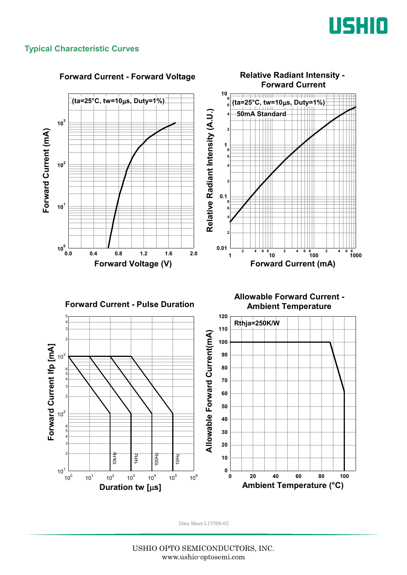

#### **Typical Characteristic Curves**

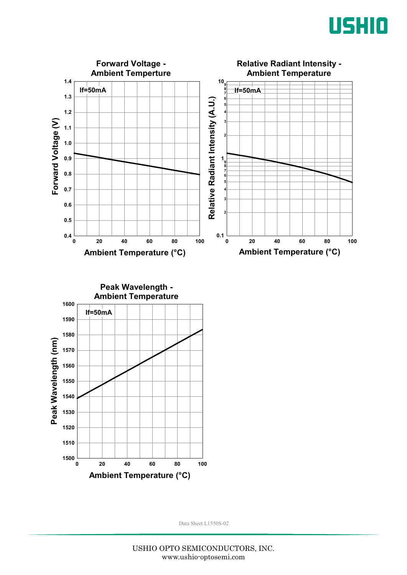



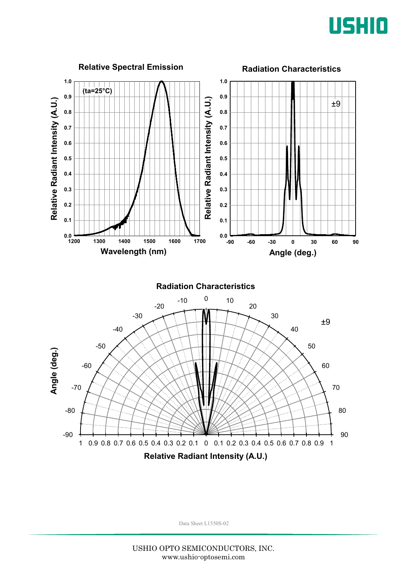